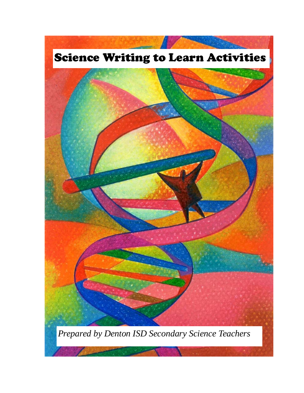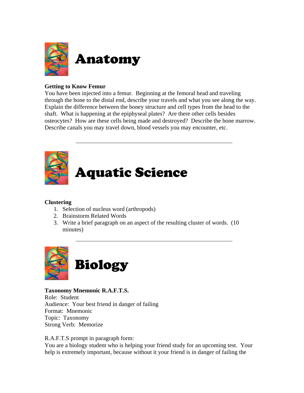

# **Getting to Know Femur**

You have been injected into a femur. Beginning at the femoral head and traveling through the bone to the distal end, describe your travels and what you see along the way. Explain the difference between the boney structure and cell types from the head to the shaft. What is happening at the epiphyseal plates? Are there other cells besides osteocytes? How are these cells being made and destroyed? Describe the bone marrow. Describe canals you may travel down, blood vessels you may encounter, etc.



# Aquatic Science

# **Clustering**

- 1. Selection of nucleus word (arthropods)
- 2. Brainstorm Related Words
- 3. Write a brief paragraph on an aspect of the resulting cluster of words. (10 minutes)



**Taxonomy Mnemonic R.A.F.T.S.**  Role: Student Audience: Your best friend in danger of failing Format: Mnemonic Topic: Taxonomy Strong Verb: Memorize

R.A.F.T.S prompt in paragraph form:

You are a biology student who is helping your friend study for an upcoming test. Your help is extremely important, because without it your friend is in danger of failing the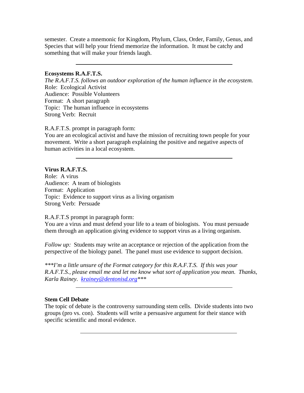semester. Create a mnemonic for Kingdom, Phylum, Class, Order, Family, Genus, and Species that will help your friend memorize the information. It must be catchy and something that will make your friends laugh.

#### **Ecosystems R.A.F.T.S.**

*The R.A.F.T.S. follows an outdoor exploration of the human influence in the ecosystem.*  Role: Ecological Activist Audience: Possible Volunteers Format: A short paragraph Topic: The human influence in ecosystems Strong Verb: Recruit

R.A.F.T.S. prompt in paragraph form:

You are an ecological activist and have the mission of recruiting town people for your movement. Write a short paragraph explaining the positive and negative aspects of human activities in a local ecosystem.

## **Virus R.A.F.T.S.**

Role: A virus Audience: A team of biologists Format: Application Topic: Evidence to support virus as a living organism Strong Verb: Persuade

R.A.F.T.S prompt in paragraph form:

You are a virus and must defend your life to a team of biologists. You must persuade them through an application giving evidence to support virus as a living organism.

*Follow up:* Students may write an acceptance or rejection of the application from the perspective of the biology panel. The panel must use evidence to support decision.

*\*\*\*I'm a little unsure of the Format category for this R.A.F.T.S. If this was your R.A.F.T.S., please email me and let me know what sort of application you mean. Thanks, Karla Rainey. [krainey@dentonisd.org\\*](mailto:krainey@dentonisd.org)\*\** 

## **Stem Cell Debate**

The topic of debate is the controversy surrounding stem cells. Divide students into two groups (pro vs. con). Students will write a persuasive argument for their stance with specific scientific and moral evidence.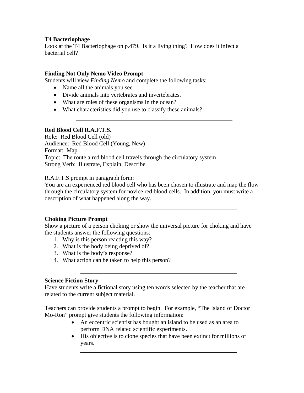## **T4 Bacteriophage**

Look at the T4 Bacteriophage on p.479. Is it a living thing? How does it infect a bacterial cell?

## **Finding Not Only Nemo Video Prompt**

Students will view *Finding Nemo* and complete the following tasks:

- Name all the animals you see.
- Divide animals into vertebrates and invertebrates.
- What are roles of these organisms in the ocean?
- What characteristics did you use to classify these animals?

## **Red Blood Cell R.A.F.T.S.**

Role: Red Blood Cell (old) Audience: Red Blood Cell (Young, New) Format: Map Topic: The route a red blood cell travels through the circulatory system Strong Verb: Illustrate, Explain, Describe

R.A.F.T.S prompt in paragraph form:

You are an experienced red blood cell who has been chosen to illustrate and map the flow through the circulatory system for novice red blood cells. In addition, you must write a description of what happened along the way.

## **Choking Picture Prompt**

Show a picture of a person choking or show the universal picture for choking and have the students answer the following questions:

- 1. Why is this person reacting this way?
- 2. What is the body being deprived of?
- 3. What is the body's response?
- 4. What action can be taken to help this person?

## **Science Fiction Story**

Have students write a fictional story using ten words selected by the teacher that are related to the current subject material.

Teachers can provide students a prompt to begin. For example, "The Island of Doctor Mo-Ron" prompt give students the following information:

- An eccentric scientist has bought an island to be used as an area to perform DNA related scientific experiments.
- His objective is to clone species that have been extinct for millions of years.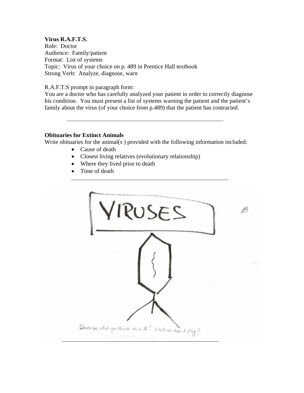## **Virus R.A.F.T.S.**

Role: Doctor Audience: Family/patient Format: List of systems Topic: Virus of your choice on p. 489 in Prentice Hall textbook Strong Verb: Analyze, diagnose, warn

## R.A.F.T.S prompt in paragraph form:

You are a doctor who has carefully analyzed your patient in order to correctly diagnose his condition. You must present a list of systems warning the patient and the patient's family about the virus (of your choice from p.489) that the patient has contracted.

## **Obituaries for Extinct Animals**

Write obituaries for the animal(s ) provided with the following information included:

- Cause of death
- Closest living relatives (evolutionary relationship)
- Where they lived prior to death
- Time of death

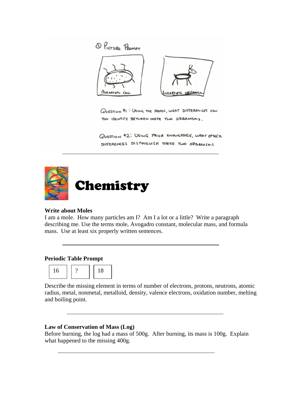

QUESTION #1: USING THE PHOTOS, WHAT DIFFERENCES CAN 400 IDENTIFY BETWEEN THESE TWO DRGANISMS.

QUESTION #2: USING PRIOR KNOWLEDGE, WHAT OTHER DIFFERENCES DISTINGUISH THESE TWO ORGANISMS



# **Write about Moles**

I am a mole. How many particles am I? Am I a lot or a little? Write a paragraph describing me. Use the terms mole, Avogadro constant, molecular mass, and formula mass. Use at least six properly written sentences.

## **Periodic Table Prompt**



Describe the missing element in terms of number of electrons, protons, neutrons, atomic radius, metal, nonmetal, metalloid, density, valence electrons, oxidation number, melting and boiling point.

# **Law of Conservation of Mass (Log)**

Before burning, the log had a mass of 500g. After burning, its mass is 100g. Explain what happened to the missing 400g.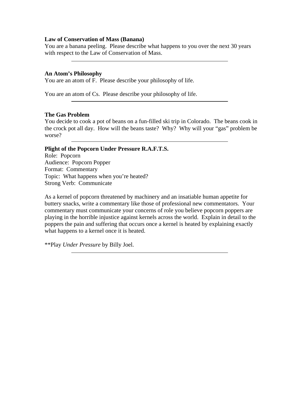#### **Law of Conservation of Mass (Banana)**

You are a banana peeling. Please describe what happens to you over the next 30 years with respect to the Law of Conservation of Mass.

## **An Atom's Philosophy**

You are an atom of F. Please describe your philosophy of life.

You are an atom of Cs. Please describe your philosophy of life.

## **The Gas Problem**

You decide to cook a pot of beans on a fun-filled ski trip in Colorado. The beans cook in the crock pot all day. How will the beans taste? Why? Why will your "gas" problem be worse?

#### **Plight of the Popcorn Under Pressure R.A.F.T.S.**

Role: Popcorn Audience: Popcorn Popper Format: Commentary Topic: What happens when you're heated? Strong Verb: Communicate

As a kernel of popcorn threatened by machinery and an insatiable human appetite for buttery snacks, write a commentary like those of professional new commentators. Your commentary must communicate your concerns of role you believe popcorn poppers are playing in the horrible injustice against kernels across the world. Explain in detail to the poppers the pain and suffering that occurs once a kernel is heated by explaining exactly what happens to a kernel once it is heated.

\*\*Play *Under Pressure* by Billy Joel.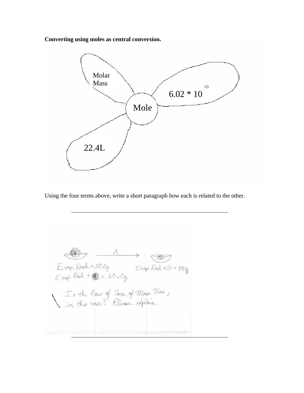**Converting using moles as central conversion.** 



Using the four terms above, write a short paragraph how each is related to the other.

 $E$ vap. Dish = 50.0g<br>  $E$ vap. Dish +  $E = 50.09$ <br>  $E$ vap. Dish +  $E = 50.09$ Is the Law of Cons. of Mass true,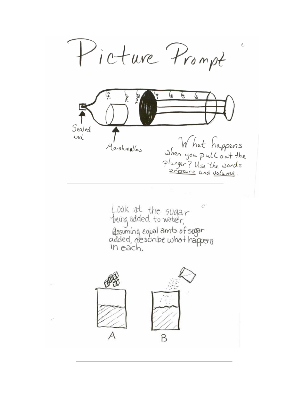Picture Prompt Ĉ. (£ 6 6 سمر Sealed What happens<br>When you pull out the<br>Plunger? Use the words<br>Pressure and volume. end Marshmallow Look at the sugar<br>tring added to water, dssuming equal amts of sugar<br>added, describe what happens In each. COL  $\overline{\mathcal{A}}$ B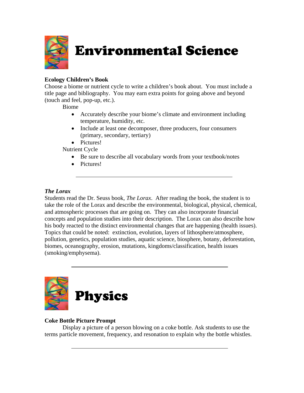

Environmental Science

# **Ecology Children's Book**

Choose a biome or nutrient cycle to write a children's book about. You must include a title page and bibliography. You may earn extra points for going above and beyond (touch and feel, pop-up, etc.).

Biome

- Accurately describe your biome's climate and environment including temperature, humidity, etc.
- Include at least one decomposer, three producers, four consumers (primary, secondary, tertiary)
- Pictures!

Nutrient Cycle

- Be sure to describe all vocabulary words from your textbook/notes
- Pictures!

# *The Lorax*

Students read the Dr. Seuss book, *The Lorax*. After reading the book, the student is to take the role of the Lorax and describe the environmental, biological, physical, chemical, and atmospheric processes that are going on. They can also incorporate financial concepts and population studies into their description. The Lorax can also describe how his body reacted to the distinct environmental changes that are happening (health issues). Topics that could be noted: extinction, evolution, layers of lithosphere/atmosphere, pollution, genetics, population studies, aquatic science, biosphere, botany, deforestation, biomes, oceanography, erosion, mutations, kingdoms/classification, health issues (smoking/emphysema).



# **Coke Bottle Picture Prompt**

 Display a picture of a person blowing on a coke bottle. Ask students to use the terms particle movement, frequency, and resonation to explain why the bottle whistles.